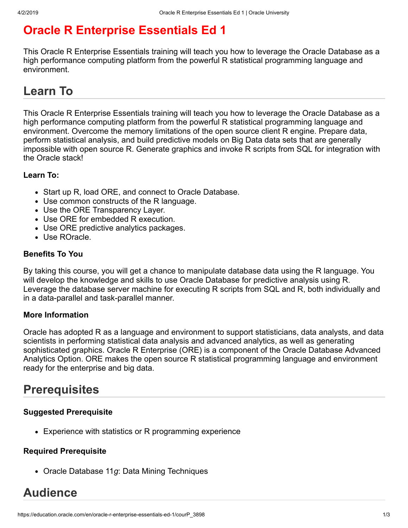# **Oracle R Enterprise Essentials Ed 1**

This Oracle R Enterprise Essentials training will teach you how to leverage the Oracle Database as a high performance computing platform from the powerful R statistical programming language and environment.

# **Learn To**

This Oracle R Enterprise Essentials training will teach you how to leverage the Oracle Database as a high performance computing platform from the powerful R statistical programming language and environment. Overcome the memory limitations of the open source client R engine. Prepare data, perform statistical analysis, and build predictive models on Big Data data sets that are generally impossible with open source R. Generate graphics and invoke R scripts from SQL for integration with the Oracle stack!

### **Learn To:**

- Start up R, load ORE, and connect to Oracle Database.
- Use common constructs of the R language.
- Use the ORE Transparency Layer.
- Use ORE for embedded R execution.
- Use ORE predictive analytics packages.
- Use ROracle.

#### **Benefits To You**

By taking this course, you will get a chance to manipulate database data using the R language. You will develop the knowledge and skills to use Oracle Database for predictive analysis using R. Leverage the database server machine for executing R scripts from SQL and R, both individually and in a data-parallel and task-parallel manner.

#### **More Information**

Oracle has adopted R as a language and environment to support statisticians, data analysts, and data scientists in performing statistical data analysis and advanced analytics, as well as generating sophisticated graphics. Oracle R Enterprise (ORE) is a component of the Oracle Database Advanced Analytics Option. ORE makes the open source R statistical programming language and environment ready for the enterprise and big data.

## **Prerequisites**

#### **Suggested Prerequisite**

Experience with statistics or R programming experience

#### **Required Prerequisite**

Oracle Database 11*g*: Data Mining Techniques

# **Audience**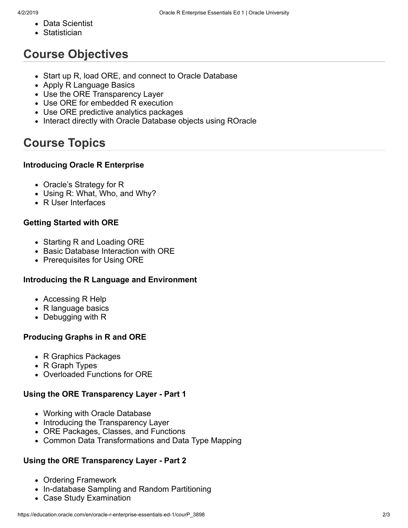- Data Scientist
- Statistician

# **Course Objectives**

- Start up R, load ORE, and connect to Oracle Database
- Apply R Language Basics
- Use the ORE Transparency Layer
- Use ORE for embedded R execution
- Use ORE predictive analytics packages
- Interact directly with Oracle Database objects using ROracle

# **Course Topics**

### **Introducing Oracle R Enterprise**

- Oracle's Strategy for R
- Using R: What, Who, and Why?
- R User Interfaces

### **Getting Started with ORE**

- Starting R and Loading ORE
- Basic Database Interaction with ORE
- Prerequisites for Using ORE

### **Introducing the R Language and Environment**

- Accessing R Help
- R language basics
- Debugging with R

### **Producing Graphs in R and ORE**

- R Graphics Packages
- R Graph Types
- Overloaded Functions for ORE

### **Using the ORE Transparency Layer - Part 1**

- Working with Oracle Database
- Introducing the Transparency Layer
- ORE Packages, Classes, and Functions
- Common Data Transformations and Data Type Mapping

### **Using the ORE Transparency Layer - Part 2**

- Ordering Framework
- In-database Sampling and Random Partitioning
- Case Study Examination